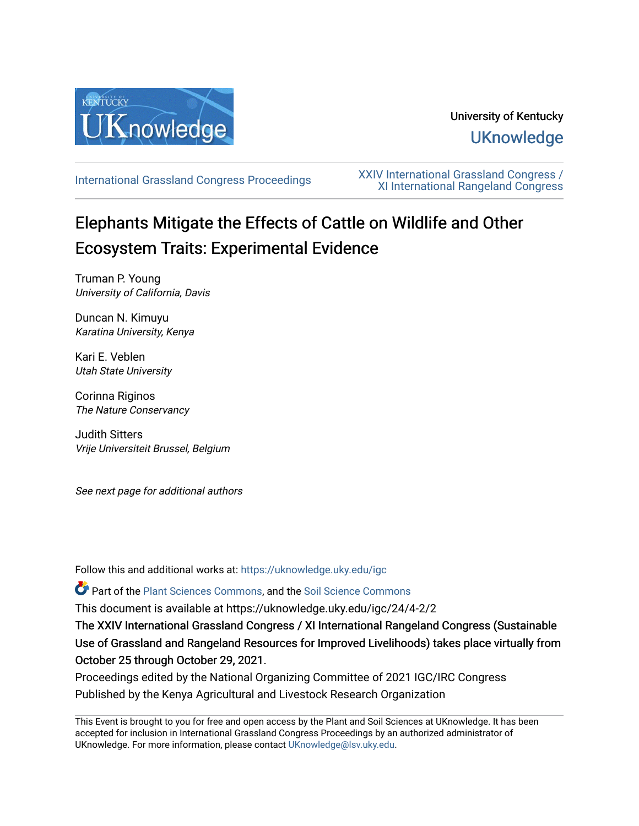

## University of Kentucky **UKnowledge**

[International Grassland Congress Proceedings](https://uknowledge.uky.edu/igc) [XXIV International Grassland Congress /](https://uknowledge.uky.edu/igc/24)  [XI International Rangeland Congress](https://uknowledge.uky.edu/igc/24) 

# Elephants Mitigate the Effects of Cattle on Wildlife and Other Ecosystem Traits: Experimental Evidence

Truman P. Young University of California, Davis

Duncan N. Kimuyu Karatina University, Kenya

Kari E. Veblen Utah State University

Corinna Riginos The Nature Conservancy

Judith Sitters Vrije Universiteit Brussel, Belgium

See next page for additional authors

Follow this and additional works at: [https://uknowledge.uky.edu/igc](https://uknowledge.uky.edu/igc?utm_source=uknowledge.uky.edu%2Figc%2F24%2F4-2%2F2&utm_medium=PDF&utm_campaign=PDFCoverPages) 

Part of the [Plant Sciences Commons](http://network.bepress.com/hgg/discipline/102?utm_source=uknowledge.uky.edu%2Figc%2F24%2F4-2%2F2&utm_medium=PDF&utm_campaign=PDFCoverPages), and the [Soil Science Commons](http://network.bepress.com/hgg/discipline/163?utm_source=uknowledge.uky.edu%2Figc%2F24%2F4-2%2F2&utm_medium=PDF&utm_campaign=PDFCoverPages) 

This document is available at https://uknowledge.uky.edu/igc/24/4-2/2

The XXIV International Grassland Congress / XI International Rangeland Congress (Sustainable Use of Grassland and Rangeland Resources for Improved Livelihoods) takes place virtually from October 25 through October 29, 2021.

Proceedings edited by the National Organizing Committee of 2021 IGC/IRC Congress Published by the Kenya Agricultural and Livestock Research Organization

This Event is brought to you for free and open access by the Plant and Soil Sciences at UKnowledge. It has been accepted for inclusion in International Grassland Congress Proceedings by an authorized administrator of UKnowledge. For more information, please contact [UKnowledge@lsv.uky.edu](mailto:UKnowledge@lsv.uky.edu).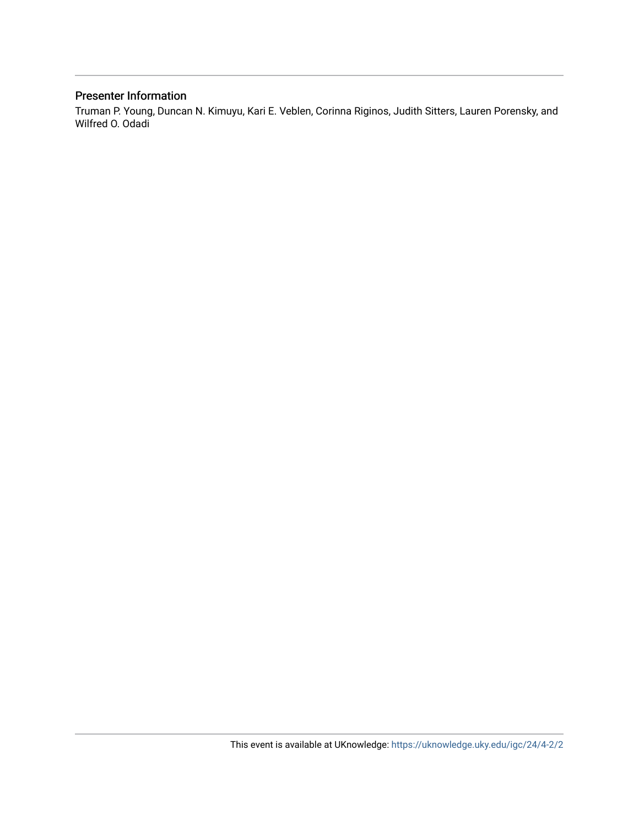#### Presenter Information

Truman P. Young, Duncan N. Kimuyu, Kari E. Veblen, Corinna Riginos, Judith Sitters, Lauren Porensky, and Wilfred O. Odadi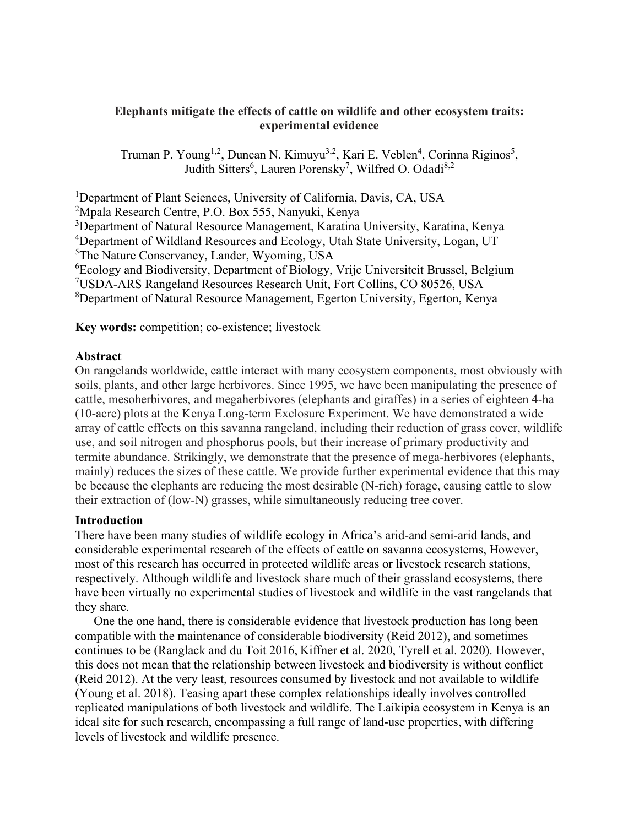#### **Elephants mitigate the effects of cattle on wildlife and other ecosystem traits: experimental evidence**

Truman P. Young<sup>1,2</sup>, Duncan N. Kimuyu<sup>3,2</sup>, Kari E. Veblen<sup>4</sup>, Corinna Riginos<sup>5</sup>, Judith Sitters<sup>6</sup>, Lauren Porensky<sup>7</sup>, Wilfred O. Odadi<sup>8,2</sup>

<sup>1</sup>Department of Plant Sciences, University of California, Davis, CA, USA Mpala Research Centre, P.O. Box 555, Nanyuki, Kenya <sup>3</sup>Department of Natural Resource Management, Karatina University, Karatina, Kenya <sup>4</sup>Department of Wildland Resources and Ecology, Utah State University, Logan, UT The Nature Conservancy, Lander, Wyoming, USA Ecology and Biodiversity, Department of Biology, Vrije Universiteit Brussel, Belgium USDA-ARS Rangeland Resources Research Unit, Fort Collins, CO 80526, USA Department of Natural Resource Management, Egerton University, Egerton, Kenya

**Key words:** competition; co-existence; livestock

#### **Abstract**

On rangelands worldwide, cattle interact with many ecosystem components, most obviously with soils, plants, and other large herbivores. Since 1995, we have been manipulating the presence of cattle, mesoherbivores, and megaherbivores (elephants and giraffes) in a series of eighteen 4-ha (10-acre) plots at the Kenya Long-term Exclosure Experiment. We have demonstrated a wide array of cattle effects on this savanna rangeland, including their reduction of grass cover, wildlife use, and soil nitrogen and phosphorus pools, but their increase of primary productivity and termite abundance. Strikingly, we demonstrate that the presence of mega-herbivores (elephants, mainly) reduces the sizes of these cattle. We provide further experimental evidence that this may be because the elephants are reducing the most desirable (N-rich) forage, causing cattle to slow their extraction of (low-N) grasses, while simultaneously reducing tree cover.

#### **Introduction**

There have been many studies of wildlife ecology in Africa's arid-and semi-arid lands, and considerable experimental research of the effects of cattle on savanna ecosystems, However, most of this research has occurred in protected wildlife areas or livestock research stations, respectively. Although wildlife and livestock share much of their grassland ecosystems, there have been virtually no experimental studies of livestock and wildlife in the vast rangelands that they share.

One the one hand, there is considerable evidence that livestock production has long been compatible with the maintenance of considerable biodiversity (Reid 2012), and sometimes continues to be (Ranglack and du Toit 2016, Kiffner et al. 2020, Tyrell et al. 2020). However, this does not mean that the relationship between livestock and biodiversity is without conflict (Reid 2012). At the very least, resources consumed by livestock and not available to wildlife (Young et al. 2018). Teasing apart these complex relationships ideally involves controlled replicated manipulations of both livestock and wildlife. The Laikipia ecosystem in Kenya is an ideal site for such research, encompassing a full range of land-use properties, with differing levels of livestock and wildlife presence.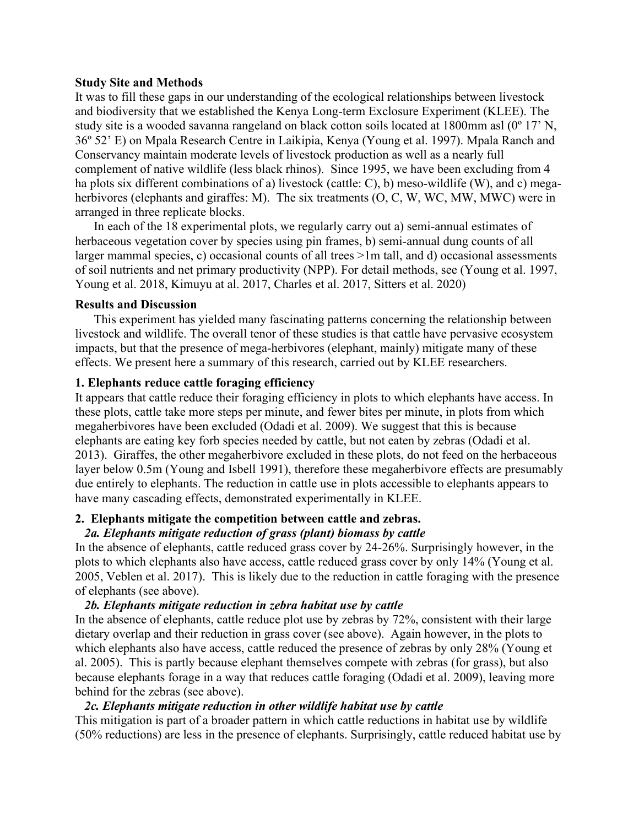#### **Study Site and Methods**

It was to fill these gaps in our understanding of the ecological relationships between livestock and biodiversity that we established the Kenya Long-term Exclosure Experiment (KLEE). The study site is a wooded savanna rangeland on black cotton soils located at 1800mm asl (0º 17' N, 36º 52' E) on Mpala Research Centre in Laikipia, Kenya (Young et al. 1997). Mpala Ranch and Conservancy maintain moderate levels of livestock production as well as a nearly full complement of native wildlife (less black rhinos). Since 1995, we have been excluding from 4 ha plots six different combinations of a) livestock (cattle: C), b) meso-wildlife (W), and c) megaherbivores (elephants and giraffes: M). The six treatments (O, C, W, WC, MW, MWC) were in arranged in three replicate blocks.

In each of the 18 experimental plots, we regularly carry out a) semi-annual estimates of herbaceous vegetation cover by species using pin frames, b) semi-annual dung counts of all larger mammal species, c) occasional counts of all trees >1m tall, and d) occasional assessments of soil nutrients and net primary productivity (NPP). For detail methods, see (Young et al. 1997, Young et al. 2018, Kimuyu at al. 2017, Charles et al. 2017, Sitters et al. 2020)

#### **Results and Discussion**

This experiment has yielded many fascinating patterns concerning the relationship between livestock and wildlife. The overall tenor of these studies is that cattle have pervasive ecosystem impacts, but that the presence of mega-herbivores (elephant, mainly) mitigate many of these effects. We present here a summary of this research, carried out by KLEE researchers.

#### **1. Elephants reduce cattle foraging efficiency**

It appears that cattle reduce their foraging efficiency in plots to which elephants have access. In these plots, cattle take more steps per minute, and fewer bites per minute, in plots from which megaherbivores have been excluded (Odadi et al. 2009). We suggest that this is because elephants are eating key forb species needed by cattle, but not eaten by zebras (Odadi et al. 2013). Giraffes, the other megaherbivore excluded in these plots, do not feed on the herbaceous layer below 0.5m (Young and Isbell 1991), therefore these megaherbivore effects are presumably due entirely to elephants. The reduction in cattle use in plots accessible to elephants appears to have many cascading effects, demonstrated experimentally in KLEE.

#### **2. Elephants mitigate the competition between cattle and zebras.**

#### *2a. Elephants mitigate reduction of grass (plant) biomass by cattle*

In the absence of elephants, cattle reduced grass cover by 24-26%. Surprisingly however, in the plots to which elephants also have access, cattle reduced grass cover by only 14% (Young et al. 2005, Veblen et al. 2017). This is likely due to the reduction in cattle foraging with the presence of elephants (see above).

#### *2b. Elephants mitigate reduction in zebra habitat use by cattle*

In the absence of elephants, cattle reduce plot use by zebras by 72%, consistent with their large dietary overlap and their reduction in grass cover (see above). Again however, in the plots to which elephants also have access, cattle reduced the presence of zebras by only 28% (Young et al. 2005). This is partly because elephant themselves compete with zebras (for grass), but also because elephants forage in a way that reduces cattle foraging (Odadi et al. 2009), leaving more behind for the zebras (see above).

#### *2c. Elephants mitigate reduction in other wildlife habitat use by cattle*

This mitigation is part of a broader pattern in which cattle reductions in habitat use by wildlife (50% reductions) are less in the presence of elephants. Surprisingly, cattle reduced habitat use by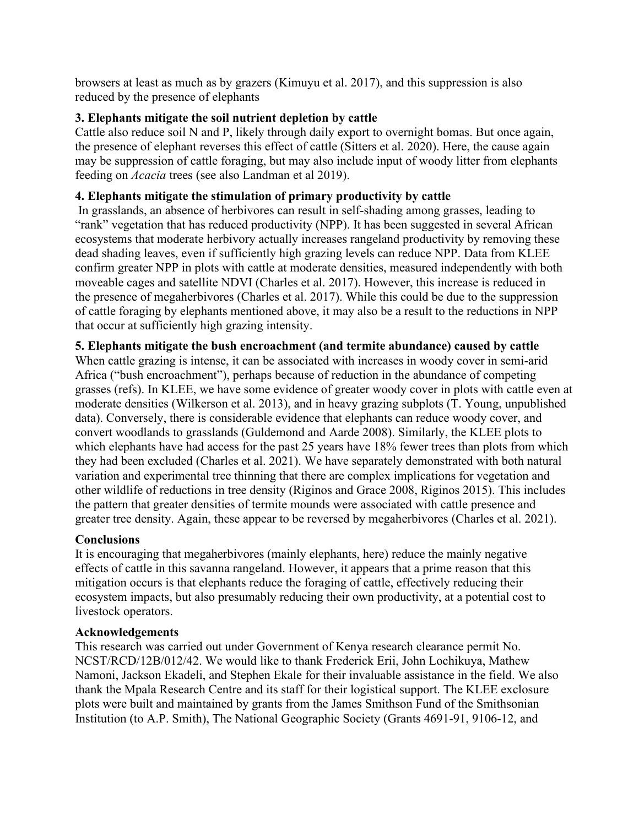browsers at least as much as by grazers (Kimuyu et al. 2017), and this suppression is also reduced by the presence of elephants

## **3. Elephants mitigate the soil nutrient depletion by cattle**

Cattle also reduce soil N and P, likely through daily export to overnight bomas. But once again, the presence of elephant reverses this effect of cattle (Sitters et al. 2020). Here, the cause again may be suppression of cattle foraging, but may also include input of woody litter from elephants feeding on *Acacia* trees (see also Landman et al 2019).

## **4. Elephants mitigate the stimulation of primary productivity by cattle**

In grasslands, an absence of herbivores can result in self-shading among grasses, leading to "rank" vegetation that has reduced productivity (NPP). It has been suggested in several African ecosystems that moderate herbivory actually increases rangeland productivity by removing these dead shading leaves, even if sufficiently high grazing levels can reduce NPP. Data from KLEE confirm greater NPP in plots with cattle at moderate densities, measured independently with both moveable cages and satellite NDVI (Charles et al. 2017). However, this increase is reduced in the presence of megaherbivores (Charles et al. 2017). While this could be due to the suppression of cattle foraging by elephants mentioned above, it may also be a result to the reductions in NPP that occur at sufficiently high grazing intensity.

## **5. Elephants mitigate the bush encroachment (and termite abundance) caused by cattle**

When cattle grazing is intense, it can be associated with increases in woody cover in semi-arid Africa ("bush encroachment"), perhaps because of reduction in the abundance of competing grasses (refs). In KLEE, we have some evidence of greater woody cover in plots with cattle even at moderate densities (Wilkerson et al. 2013), and in heavy grazing subplots (T. Young, unpublished data). Conversely, there is considerable evidence that elephants can reduce woody cover, and convert woodlands to grasslands (Guldemond and Aarde 2008). Similarly, the KLEE plots to which elephants have had access for the past 25 years have 18% fewer trees than plots from which they had been excluded (Charles et al. 2021). We have separately demonstrated with both natural variation and experimental tree thinning that there are complex implications for vegetation and other wildlife of reductions in tree density (Riginos and Grace 2008, Riginos 2015). This includes the pattern that greater densities of termite mounds were associated with cattle presence and greater tree density. Again, these appear to be reversed by megaherbivores (Charles et al. 2021).

## **Conclusions**

It is encouraging that megaherbivores (mainly elephants, here) reduce the mainly negative effects of cattle in this savanna rangeland. However, it appears that a prime reason that this mitigation occurs is that elephants reduce the foraging of cattle, effectively reducing their ecosystem impacts, but also presumably reducing their own productivity, at a potential cost to livestock operators.

## **Acknowledgements**

This research was carried out under Government of Kenya research clearance permit No. NCST/RCD/12B/012/42. We would like to thank Frederick Erii, John Lochikuya, Mathew Namoni, Jackson Ekadeli, and Stephen Ekale for their invaluable assistance in the field. We also thank the Mpala Research Centre and its staff for their logistical support. The KLEE exclosure plots were built and maintained by grants from the James Smithson Fund of the Smithsonian Institution (to A.P. Smith), The National Geographic Society (Grants 4691-91, 9106-12, and